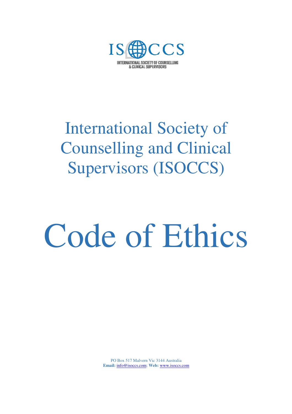

# International Society of Counselling and Clinical Supervisors (ISOCCS)

# Code of Ethics

PO Box 517 Malvern Vic 3144 Australia **Email:** info@isoccs.com; **Web:** www.isoccs.com Ĩ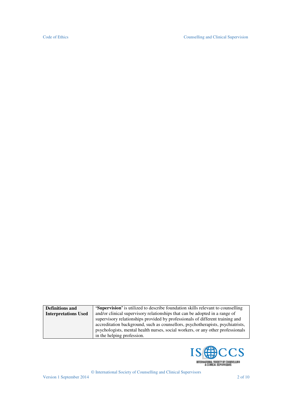| <b>Definitions and</b>      | <b>Supervision'</b> is utilized to describe foundation skills relevant to counselling |
|-----------------------------|---------------------------------------------------------------------------------------|
| <b>Interpretations Used</b> | and/or clinical supervisory relationships that can be adopted in a range of           |
|                             | supervisory relationships provided by professionals of different training and         |
|                             | accreditation background, such as counsellors, psychotherapists, psychiatrists,       |
|                             | psychologists, mental health nurses, social workers, or any other professionals       |
|                             | in the helping profession.                                                            |

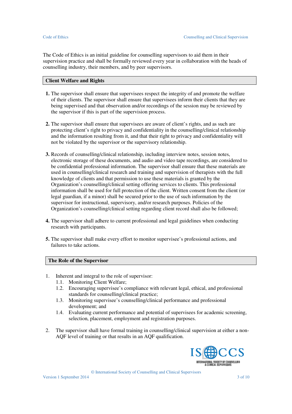The Code of Ethics is an initial guideline for counselling supervisors to aid them in their supervision practice and shall be formally reviewed every year in collaboration with the heads of counselling industry, their members, and by peer supervisors.

## **Client Welfare and Rights**

- **1.** The supervisor shall ensure that supervisees respect the integrity of and promote the welfare of their clients. The supervisor shall ensure that supervisees inform their clients that they are being supervised and that observation and/or recordings of the session may be reviewed by the supervisor if this is part of the supervision process.
- **2.** The supervisor shall ensure that supervisees are aware of client's rights, and as such are protecting client's right to privacy and confidentiality in the counselling/clinical relationship and the information resulting from it, and that their right to privacy and confidentiality will not be violated by the supervisor or the supervisory relationship.
- **3.** Records of counselling/clinical relationship, including interview notes, session notes, electronic storage of these documents, and audio and video tape recordings, are considered to be confidential professional information. The supervisor shall ensure that these materials are used in counselling/clinical research and training and supervision of therapists with the full knowledge of clients and that permission to use these materials is granted by the Organization's counselling/clinical setting offering services to clients. This professional information shall be used for full protection of the client. Written consent from the client (or legal guardian, if a minor) shall be secured prior to the use of such information by the supervisor for instructional, supervisory, and/or research purposes. Policies of the Organization's counselling/clinical setting regarding client record shall also be followed;
- **4.** The supervisor shall adhere to current professional and legal guidelines when conducting research with participants.
- **5.** The supervisor shall make every effort to monitor supervisee's professional actions, and failures to take actions.

# **The Role of the Supervisor**

- 1. Inherent and integral to the role of supervisor:
	- 1.1. Monitoring Client Welfare;
	- 1.2. Encouraging supervisee's compliance with relevant legal, ethical, and professional standards for counselling/clinical practice;
	- 1.3. Monitoring supervisee's counselling/clinical performance and professional development; and
	- 1.4. Evaluating current performance and potential of supervisees for academic screening, selection, placement, employment and registration purposes.
- 2. The supervisor shall have formal training in counselling/clinical supervision at either a non-AQF level of training or that results in an AQF qualification.

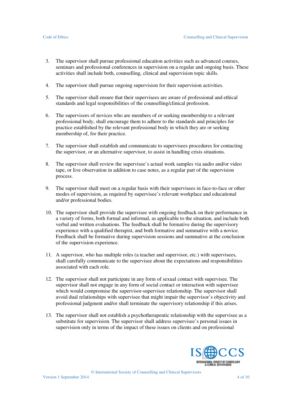- 3. The supervisor shall pursue professional education activities such as advanced courses, seminars and professional conferences in supervision on a regular and ongoing basis. These activities shall include both, counselling, clinical and supervision topic skills.
- 4. The supervisor shall pursue ongoing supervision for their supervision activities.
- 5. The supervisor shall ensure that their supervisees are aware of professional and ethical standards and legal responsibilities of the counselling/clinical profession.
- 6. The supervisors of novices who are members of or seeking membership to a relevant professional body, shall encourage them to adhere to the standards and principles for practice established by the relevant professional body in which they are or seeking membership of, for their practice.
- 7. The supervisor shall establish and communicate to supervisees procedures for contacting the supervisor, or an alternative supervisor, to assist in handling crisis situations.
- 8. The supervisor shall review the supervisee's actual work samples via audio and/or video tape, or live observation in addition to case notes, as a regular part of the supervision process.
- 9. The supervisor shall meet on a regular basis with their supervisees in face-to-face or other modes of supervision, as required by supervisee's relevant workplace and educational and/or professional bodies.
- 10. The supervisor shall provide the supervisee with ongoing feedback on their performance in a variety of forms, both formal and informal, as applicable to the situation, and include both verbal and written evaluations. The feedback shall be formative during the supervisory experience with a qualified therapist, and both formative and summative with a novice. Feedback shall be formative during supervision sessions and summative at the conclusion of the supervision experience.
- 11. A supervisor, who has multiple roles (a teacher and supervisor, etc.) with supervisees, shall carefully communicate to the supervisee about the expectations and responsibilities associated with each role.
- 12. The supervisor shall not participate in any form of sexual contact with supervisee. The supervisor shall not engage in any form of social contact or interaction with supervisee which would compromise the supervisor-supervisee relationship. The supervisor shall avoid dual relationships with supervisee that might impair the supervisor's objectivity and professional judgment and/or shall terminate the supervisory relationship if this arises.
- 13. The supervisor shall not establish a psychotherapeutic relationship with the supervisee as a substitute for supervision. The supervisor shall address supervisee's personal issues in supervision only in terms of the impact of these issues on clients and on professional

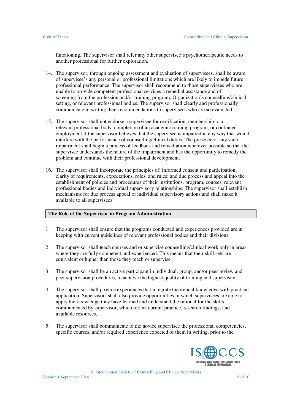functioning. The supervisor shall refer any other supervisee's psychotherapeutic needs to another professional for further exploration.

- 14. The supervisor, through ongoing assessment and evaluation of supervisees, shall be aware of supervisee's any personal or professional limitations which are likely to impede future professional performance. The supervisor shall recommend to those supervisees who are unable to provide competent professional services a remedial assistance and of screening from the profession and/or training program, Organization's counselling/clinical setting, or relevant professional bodies. The supervisor shall clearly and professionally communicate in writing their recommendations to supervisees who are so evaluated.
- 15. The supervisor shall not endorse a supervisee for certification, membership to a relevant professional body, completion of an academic training program, or continued employment if the supervisor believes that the supervisee is impaired in any way that would interfere with the performance of counselling/clinical duties. The presence of any such impairment shall begin a process of feedback and remediation wherever possible so that the supervisee understands the nature of the impairment and has the opportunity to remedy the problem and continue with their professional development.
- 16. The supervisor shall incorporate the principles of: informed consent and participation; clarity of requirements, expectations, roles, and rules; and due process and appeal into the establishment of policies and procedures of their institutions, program, courses, relevant professional bodies and individual supervisory relationships. The supervisor shall establish mechanisms for due process appeal of individual supervisory actions and shall make it available to all supervisees.

### **The Role of the Supervisor in Program Administration**

- 1. The supervisor shall ensure that the programs conducted and experiences provided are in keeping with current guidelines of relevant professional bodies and their divisions.
- 2. The supervisor shall teach courses and or supervise counselling/clinical work only in areas where they are fully competent and experienced. This means that their skill sets are equivalent or higher than those they teach or supervise.
- 3. The supervisor shall be an active participant in individual, group, and/or peer review and peer supervision procedures, to achieve the highest quality of training and supervision.
- 4. The supervisor shall provide experiences that integrate theoretical knowledge with practical application. Supervisors shall also provide opportunities in which supervisees are able to apply the knowledge they have learned and understand the rational for the skills communicated by supervisor, which reflect current practice, research findings, and available resources.
- 5. The supervisor shall communicate to the novice supervisee the professional competencies, specific courses, and/or required experience expected of them in writing, prior to the

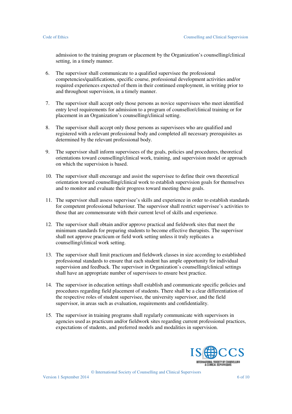admission to the training program or placement by the Organization's counselling/clinical setting, in a timely manner.

- 6. The supervisor shall communicate to a qualified supervisee the professional competencies/qualifications, specific course, professional development activities and/or required experiences expected of them in their continued employment, in writing prior to and throughout supervision, in a timely manner.
- 7. The supervisor shall accept only those persons as novice supervisees who meet identified entry level requirements for admission to a program of counsellor/clinical training or for placement in an Organization's counselling/clinical setting.
- 8. The supervisor shall accept only those persons as supervisees who are qualified and registered with a relevant professional body and completed all necessary prerequisites as determined by the relevant professional body.
- 9. The supervisor shall inform supervisees of the goals, policies and procedures, theoretical orientations toward counselling/clinical work, training, and supervision model or approach on which the supervision is based.
- 10. The supervisor shall encourage and assist the supervisee to define their own theoretical orientation toward counselling/clinical work to establish supervision goals for themselves and to monitor and evaluate their progress toward meeting these goals.
- 11. The supervisor shall assess supervisee's skills and experience in order to establish standards for competent professional behaviour. The supervisor shall restrict supervisee's activities to those that are commensurate with their current level of skills and experience.
- 12. The supervisor shall obtain and/or approve practical and fieldwork sites that meet the minimum standards for preparing students to become effective therapists. The supervisor shall not approve practicum or field work setting unless it truly replicates a counselling/clinical work setting.
- 13. The supervisor shall limit practicum and fieldwork classes in size according to established professional standards to ensure that each student has ample opportunity for individual supervision and feedback. The supervisor in Organization's counselling/clinical settings shall have an appropriate number of supervisees to ensure best practice.
- 14. The supervisor in education settings shall establish and communicate specific policies and procedures regarding field placement of students. There shall be a clear differentiation of the respective roles of student supervisee, the university supervisor, and the field supervisor, in areas such as evaluation, requirements and confidentiality.
- 15. The supervisor in training programs shall regularly communicate with supervisors in agencies used as practicum and/or fieldwork sites regarding current professional practices, expectations of students, and preferred models and modalities in supervision.

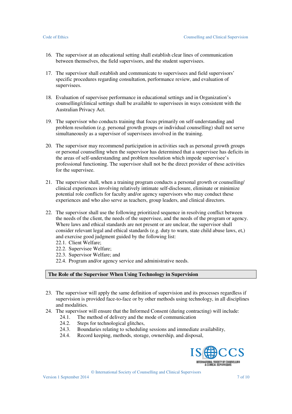- 16. The supervisor at an educational setting shall establish clear lines of communication between themselves, the field supervisors, and the student supervisees.
- 17. The supervisor shall establish and communicate to supervisees and field supervisors' specific procedures regarding consultation, performance review, and evaluation of supervisees.
- 18. Evaluation of supervisee performance in educational settings and in Organization's counselling/clinical settings shall be available to supervisees in ways consistent with the Australian Privacy Act.
- 19. The supervisor who conducts training that focus primarily on self-understanding and problem resolution (e.g. personal growth groups or individual counselling) shall not serve simultaneously as a supervisor of supervisees involved in the training.
- 20. The supervisor may recommend participation in activities such as personal growth groups or personal counselling when the supervisor has determined that a supervisee has deficits in the areas of self-understanding and problem resolution which impede supervisee's professional functioning. The supervisor shall not be the direct provider of these activities for the supervisee.
- 21. The supervisor shall, when a training program conducts a personal growth or counselling/ clinical experiences involving relatively intimate self-disclosure, eliminate or minimize potential role conflicts for faculty and/or agency supervisors who may conduct these experiences and who also serve as teachers, group leaders, and clinical directors.
- 22. The supervisor shall use the following prioritized sequence in resolving conflict between the needs of the client, the needs of the supervisee, and the needs of the program or agency. Where laws and ethical standards are not present or are unclear, the supervisor shall consider relevant legal and ethical standards (e.g. duty to warn, state child abuse laws, et,) and exercise good judgment guided by the following list:
	- 22.1. Client Welfare;
	- 22.2. Supervisee Welfare;
	- 22.3. Supervisor Welfare; and
	- 22.4. Program and/or agency service and administrative needs.

## **The Role of the Supervisor When Using Technology in Supervision**

- 23. The supervisor will apply the same definition of supervision and its processes regardless if supervision is provided face-to-face or by other methods using technology, in all disciplines and modalities.
- 24. The supervisor will ensure that the Informed Consent (during contracting) will include:
	- 24.1. The method of delivery and the mode of communication
	- 24.2. Steps for technological glitches,
	- 24.3. Boundaries relating to scheduling sessions and immediate availability,
	- 24.4. Record keeping, methods, storage, ownership, and disposal,

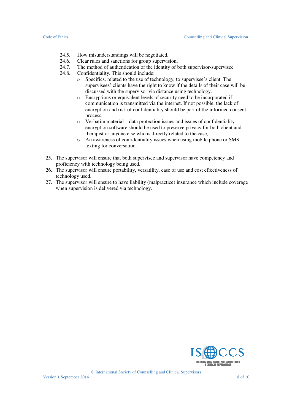- 24.5. How misunderstandings will be negotiated,
- 24.6. Clear rules and sanctions for group supervision,
- 24.7. The method of authentication of the identity of both supervisor-supervisee
- 24.8. Confidentiality. This should include:
	- o Specifics, related to the use of technology, to supervisee's client. The supervisees' clients have the right to know if the details of their case will be discussed with the supervisor via distance using technology.
	- o Encryptions or equivalent levels of security need to be incorporated if communication is transmitted via the internet. If not possible, the lack of encryption and risk of confidentiality should be part of the informed consent process.
	- o Verbatim material data protection issues and issues of confidentiality encryption software should be used to preserve privacy for both client and therapist or anyone else who is directly related to the case,
	- o An awareness of confidentiality issues when using mobile phone or SMS texting for conversation.
- 25. The supervisor will ensure that both supervisee and supervisor have competency and proficiency with technology being used.
- 26. The supervisor will ensure portability, versatility, ease of use and cost effectiveness of technology used.
- 27. The supervisor will ensure to have liability (malpractice) insurance which include coverage when supervision is delivered via technology.

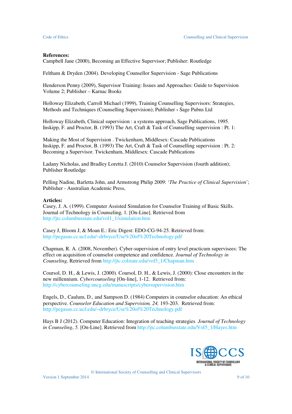### **References:**

Campbell Jane (2000), Becoming an Effective Supervisor; Publisher: Routledge

Feltham & Dryden (2004). Developing Counsellor Supervision - Sage Publications

Henderson Penny (2009), Supervisor Training: Issues and Approaches: Guide to Supervision Volume 2; Publisher – Karnac Books

Holloway Elizabeth, Carroll Michael (1999), Training Counselling Supervisors: Strategies, Methods and Techniques (Counselling Supervision); Publisher **-** Sage Pubns Ltd

Holloway Elizabeth, Clinical supervision : a systems approach, Sage Publications, 1995. Inskipp, F. and Proctor, B. (1993) The Art, Craft & Task of Counselling supervision : Pt. 1:

Making the Most of Supervision . Twickenham, Middlesex: Cascade Publications Inskipp, F. and Proctor, B. (1993) The Art, Craft & Task of Counselling supervision : Pt. 2: Becoming a Supervisor. Twickenham, Middlesex: Cascade Publications

Ladany Nicholas, and Bradley Loretta J. (2010) Counselor Supervision (fourth addition); Publisher Routledge

Pelling Nadine, Barletta John, and Armstrong Philip 2009: '*The Practice of Clinical Supervision*'; Publisher - Australian Academic Press,

### **Articles:**

Casey, J. A. (1999). Computer Assisted Simulation for Counselor Training of Basic Skills. Journal of Technology in Counseling, 1. [On-Line]. Retrieved from http://jtc.columbusstate.edu/vol1\_1/simulation.htm

Casey J, Bloom J, & Moan E.: Eric Digest: EDO-CG-94-25. Retrieved from: http://pegasus.cc.ucf.edu/~drbryce/Use%20of%20Technology.pdf

Chapman, R. A. (2008, November). Cyber-supervision of entry level practicum supervisees: The effect on acquisition of counselor competence and confidence. *Journal of Technology in Counseling,* Retrieved from http://jtc.colstate.edu/vol5\_1/Chapman.htm

Coursol, D. H., & Lewis, J. (2000). Coursol, D. H., & Lewis, J. (2000): Close encounters in the new millennium. *Cybercounseling* [On-line], 1-12. Retrieved from: http://cybercounseling.uncg.edu/manuscripts/cybersupervision.htm

Engels, D., Caulum, D., and Sampson D. (1984) Computers in counselor education: An ethical perspective. *Counselor Education and Supervision, 24,* 193-203. Retrieved from: http://pegasus.cc.ucf.edu/~drbryce/Use%20of%20Technology.pdf

Hays B J (2012). Computer Education: Integration of teaching strategies *Journal of Technology in Counseling*, *5.* [On-Line]. Retrieved from http://jtc.columbusstate.edu/Vol5\_1/Hayes.htm